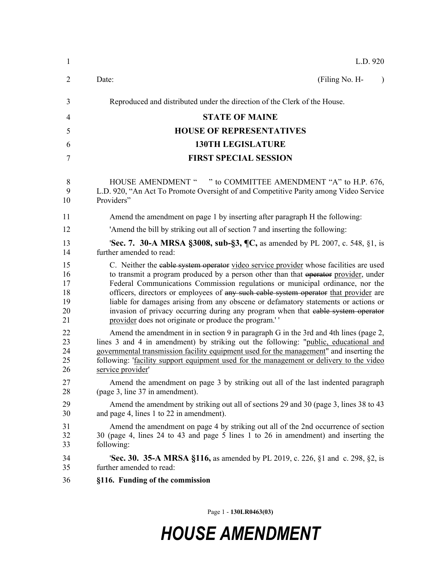| $\mathbf{1}$                           | L.D. 920                                                                                                                                                                                                                                                                                                                                                                                                                                                                                                                                                                                 |
|----------------------------------------|------------------------------------------------------------------------------------------------------------------------------------------------------------------------------------------------------------------------------------------------------------------------------------------------------------------------------------------------------------------------------------------------------------------------------------------------------------------------------------------------------------------------------------------------------------------------------------------|
| $\overline{2}$                         | (Filing No. H-<br>Date:                                                                                                                                                                                                                                                                                                                                                                                                                                                                                                                                                                  |
| 3                                      | Reproduced and distributed under the direction of the Clerk of the House.                                                                                                                                                                                                                                                                                                                                                                                                                                                                                                                |
| 4                                      | <b>STATE OF MAINE</b>                                                                                                                                                                                                                                                                                                                                                                                                                                                                                                                                                                    |
| 5                                      | <b>HOUSE OF REPRESENTATIVES</b>                                                                                                                                                                                                                                                                                                                                                                                                                                                                                                                                                          |
| 6                                      | <b>130TH LEGISLATURE</b>                                                                                                                                                                                                                                                                                                                                                                                                                                                                                                                                                                 |
| 7                                      | <b>FIRST SPECIAL SESSION</b>                                                                                                                                                                                                                                                                                                                                                                                                                                                                                                                                                             |
| 8<br>9<br>10                           | HOUSE AMENDMENT " " to COMMITTEE AMENDMENT "A" to H.P. 676,<br>L.D. 920, "An Act To Promote Oversight of and Competitive Parity among Video Service<br>Providers"                                                                                                                                                                                                                                                                                                                                                                                                                        |
| 11                                     | Amend the amendment on page 1 by inserting after paragraph H the following:                                                                                                                                                                                                                                                                                                                                                                                                                                                                                                              |
| 12                                     | 'Amend the bill by striking out all of section 7 and inserting the following:                                                                                                                                                                                                                                                                                                                                                                                                                                                                                                            |
| 13<br>14                               | 'Sec. 7. 30-A MRSA §3008, sub-§3, ¶C, as amended by PL 2007, c. 548, §1, is<br>further amended to read:                                                                                                                                                                                                                                                                                                                                                                                                                                                                                  |
| 15<br>16<br>17<br>18<br>19<br>20<br>21 | C. Neither the eable system operator video service provider whose facilities are used<br>to transmit a program produced by a person other than that operator provider, under<br>Federal Communications Commission regulations or municipal ordinance, nor the<br>officers, directors or employees of any such cable system operator that provider are<br>liable for damages arising from any obscene or defamatory statements or actions or<br>invasion of privacy occurring during any program when that eable system operator<br>provider does not originate or produce the program.'' |
| 22<br>23<br>24<br>25<br>26             | Amend the amendment in in section 9 in paragraph G in the 3rd and 4th lines (page 2,<br>lines 3 and 4 in amendment) by striking out the following: "public, educational and<br>governmental transmission facility equipment used for the management" and inserting the<br>following: 'facility support equipment used for the management or delivery to the video<br>service provider                                                                                                                                                                                                    |
| 27<br>28                               | Amend the amendment on page 3 by striking out all of the last indented paragraph<br>(page 3, line 37 in amendment).                                                                                                                                                                                                                                                                                                                                                                                                                                                                      |
| 29<br>30                               | Amend the amendment by striking out all of sections 29 and 30 (page 3, lines 38 to 43)<br>and page 4, lines 1 to 22 in amendment).                                                                                                                                                                                                                                                                                                                                                                                                                                                       |
| 31<br>32<br>33                         | Amend the amendment on page 4 by striking out all of the 2nd occurrence of section<br>30 (page 4, lines 24 to 43 and page 5 lines 1 to 26 in amendment) and inserting the<br>following:                                                                                                                                                                                                                                                                                                                                                                                                  |
| 34<br>35                               | <b>Sec. 30. 35-A MRSA §116, as amended by PL 2019, c. 226, §1 and c. 298, §2, is</b><br>further amended to read:                                                                                                                                                                                                                                                                                                                                                                                                                                                                         |
| 36                                     | §116. Funding of the commission                                                                                                                                                                                                                                                                                                                                                                                                                                                                                                                                                          |

Page 1 - **130LR0463(03)**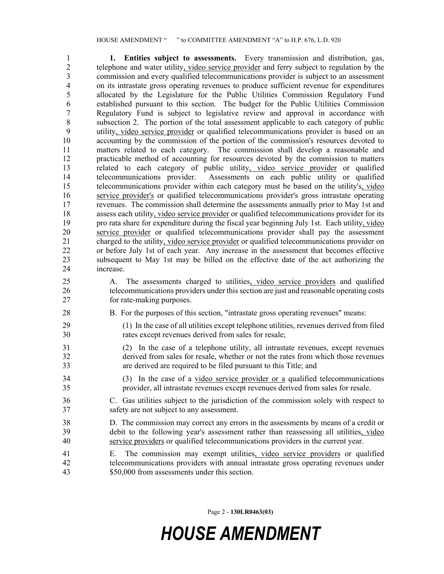1 **1. Entities subject to assessments.** Every transmission and distribution, gas, 2 telephone and water utility, video service provider and ferry subject to regulation by the commission and every qualified telecommunications provider is subject to an assessment commission and every qualified telecommunications provider is subject to an assessment 4 on its intrastate gross operating revenues to produce sufficient revenue for expenditures 5 allocated by the Legislature for the Public Utilities Commission Regulatory Fund 6 established pursuant to this section. The budget for the Public Utilities Commission 7 Regulatory Fund is subject to legislative review and approval in accordance with 8 subsection 2. The portion of the total assessment applicable to each category of public 9 utility, video service provider or qualified telecommunications provider is based on an 10 accounting by the commission of the portion of the commission's resources devoted to 11 matters related to each category. The commission shall develop a reasonable and 12 practicable method of accounting for resources devoted by the commission to matters 13 related to each category of public utility, video service provider or qualified 14 telecommunications provider. Assessments on each public utility or qualified 15 telecommunications provider within each category must be based on the utility's, video 16 service provider's or qualified telecommunications provider's gross intrastate operating 17 revenues. The commission shall determine the assessments annually prior to May 1st and 18 assess each utility, video service provider or qualified telecommunications provider for its 19 pro rata share for expenditure during the fiscal year beginning July 1st. Each utility, video 20 service provider or qualified telecommunications provider shall pay the assessment 21 charged to the utility, video service provider or qualified telecommunications provider on 22 or before July 1st of each year. Any increase in the assessment that becomes effective 23 subsequent to May 1st may be billed on the effective date of the act authorizing the 24 increase.

25 A. The assessments charged to utilities, video service providers and qualified 26 telecommunications providers under this section are just and reasonable operating costs 27 for rate-making purposes.

- 28 B. For the purposes of this section, "intrastate gross operating revenues" means:
- 29 (1) In the case of all utilities except telephone utilities, revenues derived from filed 30 rates except revenues derived from sales for resale;
- 31 (2) In the case of a telephone utility, all intrastate revenues, except revenues 32 derived from sales for resale, whether or not the rates from which those revenues 33 are derived are required to be filed pursuant to this Title; and
- 34 (3) In the case of a video service provider or a qualified telecommunications 35 provider, all intrastate revenues except revenues derived from sales for resale.
- 36 C. Gas utilities subject to the jurisdiction of the commission solely with respect to 37 safety are not subject to any assessment.
- 38 D. The commission may correct any errors in the assessments by means of a credit or 39 debit to the following year's assessment rather than reassessing all utilities, video 40 service providers or qualified telecommunications providers in the current year.
- 41 E. The commission may exempt utilities, video service providers or qualified 42 telecommunications providers with annual intrastate gross operating revenues under 43 \$50,000 from assessments under this section.

Page 2 - **130LR0463(03)**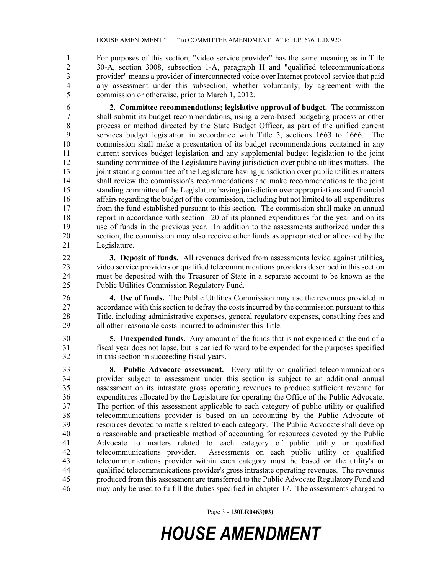1 For purposes of this section, "video service provider" has the same meaning as in Title 2 30-A, section 3008, subsection 1-A, paragraph H and "qualified telecommunications<br>3 provider" means a provider of interconnected voice over Internet protocol service that paid provider" means a provider of interconnected voice over Internet protocol service that paid 4 any assessment under this subsection, whether voluntarily, by agreement with the 5 commission or otherwise, prior to March 1, 2012.

6 **2. Committee recommendations; legislative approval of budget.** The commission 7 shall submit its budget recommendations, using a zero-based budgeting process or other 8 process or method directed by the State Budget Officer, as part of the unified current 9 services budget legislation in accordance with Title 5, sections 1663 to 1666. The 10 commission shall make a presentation of its budget recommendations contained in any 11 current services budget legislation and any supplemental budget legislation to the joint 12 standing committee of the Legislature having jurisdiction over public utilities matters. The 13 joint standing committee of the Legislature having jurisdiction over public utilities matters 14 shall review the commission's recommendations and make recommendations to the joint 15 standing committee of the Legislature having jurisdiction over appropriations and financial 16 affairs regarding the budget of the commission, including but not limited to all expenditures 17 from the fund established pursuant to this section. The commission shall make an annual 18 report in accordance with section 120 of its planned expenditures for the year and on its 19 use of funds in the previous year. In addition to the assessments authorized under this 20 section, the commission may also receive other funds as appropriated or allocated by the 21 Legislature.

22 **3. Deposit of funds.** All revenues derived from assessments levied against utilities, 23 video service providers or qualified telecommunications providers described in this section 24 must be deposited with the Treasurer of State in a separate account to be known as the 25 Public Utilities Commission Regulatory Fund.

26 **4. Use of funds.** The Public Utilities Commission may use the revenues provided in 27 accordance with this section to defray the costs incurred by the commission pursuant to this 28 Title, including administrative expenses, general regulatory expenses, consulting fees and 29 all other reasonable costs incurred to administer this Title.

30 **5. Unexpended funds.** Any amount of the funds that is not expended at the end of a 31 fiscal year does not lapse, but is carried forward to be expended for the purposes specified 32 in this section in succeeding fiscal years.

33 **8. Public Advocate assessment.** Every utility or qualified telecommunications 34 provider subject to assessment under this section is subject to an additional annual 35 assessment on its intrastate gross operating revenues to produce sufficient revenue for 36 expenditures allocated by the Legislature for operating the Office of the Public Advocate. 37 The portion of this assessment applicable to each category of public utility or qualified 38 telecommunications provider is based on an accounting by the Public Advocate of 39 resources devoted to matters related to each category. The Public Advocate shall develop 40 a reasonable and practicable method of accounting for resources devoted by the Public 41 Advocate to matters related to each category of public utility or qualified 42 telecommunications provider. Assessments on each public utility or qualified 43 telecommunications provider within each category must be based on the utility's or 44 qualified telecommunications provider's gross intrastate operating revenues. The revenues 45 produced from this assessment are transferred to the Public Advocate Regulatory Fund and 46 may only be used to fulfill the duties specified in chapter 17. The assessments charged to

Page 3 - **130LR0463(03)**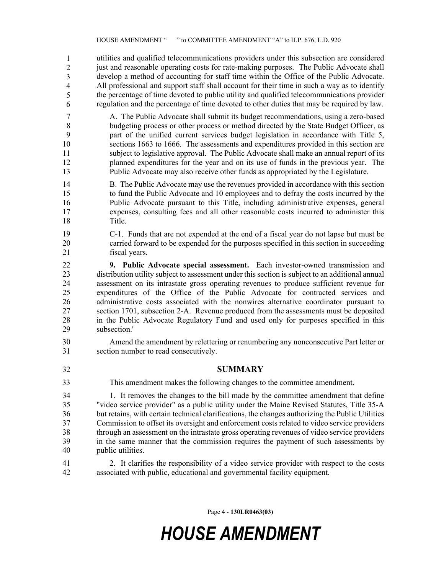47 utilities and qualified telecommunications providers under this subsection are considered just and reasonable operating costs for rate-making purposes. The Public Advocate shall develop a method of accounting for staff time within the Office of the Public Advocate. All professional and support staff shall account for their time in such a way as to identify the percentage of time devoted to public utility and qualified telecommunications provider regulation and the percentage of time devoted to other duties that may be required by law. 1 2 3 4 5 6

- 7 A. The Public Advocate shall submit its budget recommendations, using a zero-based 8 budgeting process or other process or method directed by the State Budget Officer, as 9 part of the unified current services budget legislation in accordance with Title 5, 10 sections 1663 to 1666. The assessments and expenditures provided in this section are 11 subject to legislative approval. The Public Advocate shall make an annual report of its 12 planned expenditures for the year and on its use of funds in the previous year. The 13 Public Advocate may also receive other funds as appropriated by the Legislature.
- 14 B. The Public Advocate may use the revenues provided in accordance with this section 15 to fund the Public Advocate and 10 employees and to defray the costs incurred by the 16 Public Advocate pursuant to this Title, including administrative expenses, general 17 expenses, consulting fees and all other reasonable costs incurred to administer this 18 Title.
- 19 C-1. Funds that are not expended at the end of a fiscal year do not lapse but must be 20 carried forward to be expended for the purposes specified in this section in succeeding 21 fiscal years.
- 22 **9. Public Advocate special assessment.** Each investor-owned transmission and 23 distribution utility subject to assessment under this section is subject to an additional annual 24 assessment on its intrastate gross operating revenues to produce sufficient revenue for 25 expenditures of the Office of the Public Advocate for contracted services and 26 administrative costs associated with the nonwires alternative coordinator pursuant to 27 section 1701, subsection 2‑A. Revenue produced from the assessments must be deposited 28 in the Public Advocate Regulatory Fund and used only for purposes specified in this 29 subsection.'
- 30 Amend the amendment by relettering or renumbering any nonconsecutive Part letter or 31 section number to read consecutively.
- 32 **SUMMARY**
- This amendment makes the following changes to the committee amendment. 33
- 34 1. It removes the changes to the bill made by the committee amendment that define 35 "video service provider" as a public utility under the Maine Revised Statutes, Title 35-A 36 but retains, with certain technical clarifications, the changes authorizing the Public Utilities 37 Commission to offset its oversight and enforcement costs related to video service providers 38 through an assessment on the intrastate gross operating revenues of video service providers 39 in the same manner that the commission requires the payment of such assessments by 40 public utilities.
- 41 2. It clarifies the responsibility of a video service provider with respect to the costs 42 associated with public, educational and governmental facility equipment.

Page 4 - **130LR0463(03)**